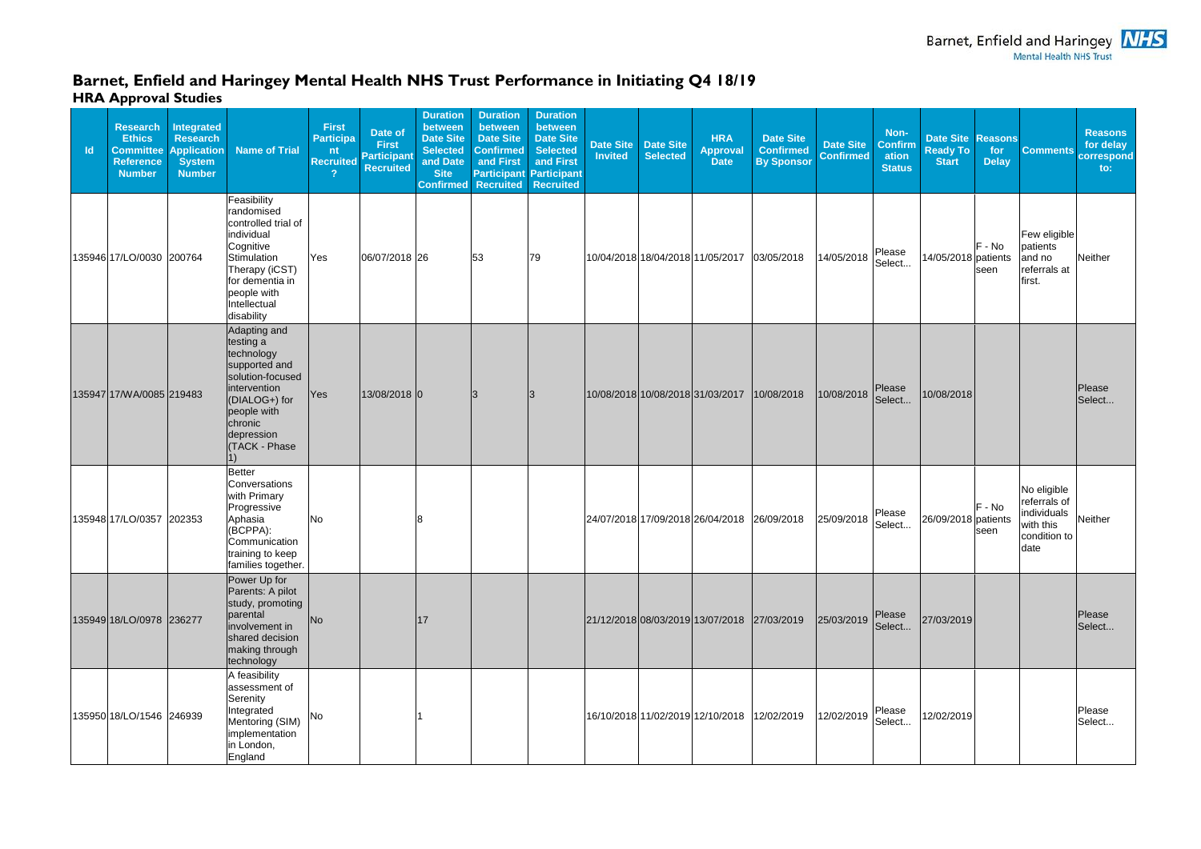## **Barnet, Enfield and Haringey Mental Health NHS Trust Performance in Initiating Q4 18/19 HRA Approval Studies**

| <b>Id</b> | <b>Research</b><br><b>Ethics</b><br><b>Committee</b><br><b>Reference</b><br><b>Number</b> | <b>Integrated</b><br><b>Research</b><br><b>Application</b><br><b>System</b><br><b>Number</b> | <b>Name of Trial</b>                                                                                                                                                          | <b>First</b><br><b>Participa</b><br>nt<br><b>Recruited</b><br>2 | Date of<br><b>First</b><br><b>Participant</b><br><b>Recruited</b> | <b>Duration</b><br>between<br><b>Date Site</b><br><b>Selected</b><br>and Date<br><b>Site</b><br><b>Confirmed</b> | <b>Duration</b><br>between<br><b>Date Site</b><br><b>Confirmed</b><br>and First<br><b>Recruited</b> | <b>Duration</b><br>between<br><b>Date Site</b><br><b>Selected</b><br>and First<br><b>Participant Participant</b><br><b>Recruited</b> | <b>Date Site</b><br><b>Invited</b> | <b>Date Site</b><br><b>Selected</b> | <b>HRA</b><br><b>Approval</b><br><b>Date</b> | <b>Date Site</b><br><b>Confirmed</b><br><b>By Sponsor</b> | <b>Date Site</b><br><b>Confirmed</b> | Non-<br><b>Confirm</b><br>ation<br><b>Status</b> | <b>Date Site</b><br><b>Ready To</b><br><b>Start</b> | <b>Reasons</b><br>for<br><b>Delay</b> | <b>Comments</b>                                                                 | <b>Reasons</b><br>for delay<br>correspond<br>$\mathsf{to}$ : |
|-----------|-------------------------------------------------------------------------------------------|----------------------------------------------------------------------------------------------|-------------------------------------------------------------------------------------------------------------------------------------------------------------------------------|-----------------------------------------------------------------|-------------------------------------------------------------------|------------------------------------------------------------------------------------------------------------------|-----------------------------------------------------------------------------------------------------|--------------------------------------------------------------------------------------------------------------------------------------|------------------------------------|-------------------------------------|----------------------------------------------|-----------------------------------------------------------|--------------------------------------|--------------------------------------------------|-----------------------------------------------------|---------------------------------------|---------------------------------------------------------------------------------|--------------------------------------------------------------|
|           | 135946 17/LO/0030 200764                                                                  |                                                                                              | Feasibility<br>randomised<br>controlled trial of<br>individual<br>Cognitive<br>Stimulation<br>Therapy (iCST)<br>for dementia in<br>people with<br>Intellectual<br>disability  | Yes                                                             | 06/07/2018 26                                                     |                                                                                                                  | 53                                                                                                  | 79                                                                                                                                   |                                    |                                     |                                              | 10/04/2018 18/04/2018 11/05/2017 03/05/2018               | 14/05/2018                           | Please<br>Select                                 | 14/05/2018 patients                                 | F - No<br>seen                        | Few eligible<br>patients<br>and no<br>referrals at<br>first.                    | Neither                                                      |
|           | 135947 17/WA/0085 219483                                                                  |                                                                                              | Adapting and<br>testing a<br>technology<br>supported and<br>solution-focused<br>intervention<br>(DIALOG+) for<br>people with<br>chronic<br>depression<br><b>(TACK - Phase</b> | Yes                                                             | 13/08/2018 0                                                      |                                                                                                                  |                                                                                                     |                                                                                                                                      |                                    |                                     |                                              | 10/08/2018 10/08/2018 31/03/2017 10/08/2018               | 10/08/2018                           | Please<br>Select                                 | 10/08/2018                                          |                                       |                                                                                 | Please<br>Select                                             |
|           | 135948 17/LO/0357 202353                                                                  |                                                                                              | Better<br>Conversations<br>with Primary<br>Progressive<br>Aphasia<br>(BCPPA):<br>Communication<br>training to keep<br>families together.                                      | <b>No</b>                                                       |                                                                   |                                                                                                                  |                                                                                                     |                                                                                                                                      |                                    |                                     |                                              | 24/07/2018 17/09/2018 26/04/2018 26/09/2018               | 25/09/2018                           | Please<br>Select                                 | 26/09/2018 patients                                 | F - No<br>seen                        | No eligible<br>referrals of<br>individuals<br>with this<br>condition to<br>date | <b>Neither</b>                                               |
|           | 135949 18/LO/0978 236277                                                                  |                                                                                              | Power Up for<br>Parents: A pilot<br>study, promoting<br>parental<br>involvement in<br>shared decision<br>making through<br>technology                                         | No                                                              |                                                                   | 17                                                                                                               |                                                                                                     |                                                                                                                                      |                                    |                                     |                                              | 21/12/2018 08/03/2019 13/07/2018 27/03/2019               | 25/03/2019                           | Please<br>Select                                 | 27/03/2019                                          |                                       |                                                                                 | Please<br>Select                                             |
|           | 135950 18/LO/1546 246939                                                                  |                                                                                              | A feasibility<br>assessment of<br>Serenity<br>Integrated<br>Mentoring (SIM)<br>implementation<br>in London,<br>England                                                        | No                                                              |                                                                   |                                                                                                                  |                                                                                                     |                                                                                                                                      |                                    |                                     |                                              | 16/10/2018 11/02/2019 12/10/2018 12/02/2019               | 12/02/2019                           | Please<br>Select                                 | 12/02/2019                                          |                                       |                                                                                 | Please<br>Select                                             |

Barnet, Enfield and Haringey **NHS**